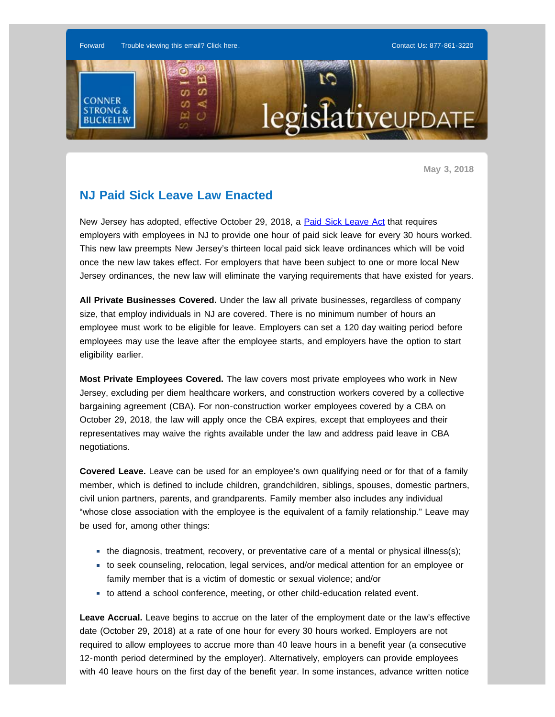

**May 3, 2018**

## **NJ Paid Sick Leave Law Enacted**

New Jersey has adopted, effective October 29, 2018, a [Paid Sick Leave Act](http://enews.connerstrongbuckelew.com/q/tCqD_vTJY0AC8L91nNE_HrSaYb2l9sLazMiuM4UYqc59O-fOuMDZLxuDcrhA) that requires employers with employees in NJ to provide one hour of paid sick leave for every 30 hours worked. This new law preempts New Jersey's thirteen local paid sick leave ordinances which will be void once the new law takes effect. For employers that have been subject to one or more local New Jersey ordinances, the new law will eliminate the varying requirements that have existed for years.

**All Private Businesses Covered.** Under the law all private businesses, regardless of company size, that employ individuals in NJ are covered. There is no minimum number of hours an employee must work to be eligible for leave. Employers can set a 120 day waiting period before employees may use the leave after the employee starts, and employers have the option to start eligibility earlier.

**Most Private Employees Covered.** The law covers most private employees who work in New Jersey, excluding per diem healthcare workers, and construction workers covered by a collective bargaining agreement (CBA). For non-construction worker employees covered by a CBA on October 29, 2018, the law will apply once the CBA expires, except that employees and their representatives may waive the rights available under the law and address paid leave in CBA negotiations.

**Covered Leave.** Leave can be used for an employee's own qualifying need or for that of a family member, which is defined to include children, grandchildren, siblings, spouses, domestic partners, civil union partners, parents, and grandparents. Family member also includes any individual "whose close association with the employee is the equivalent of a family relationship." Leave may be used for, among other things:

- the diagnosis, treatment, recovery, or preventative care of a mental or physical illness(s);
- to seek counseling, relocation, legal services, and/or medical attention for an employee or family member that is a victim of domestic or sexual violence; and/or
- to attend a school conference, meeting, or other child-education related event.

**Leave Accrual.** Leave begins to accrue on the later of the employment date or the law's effective date (October 29, 2018) at a rate of one hour for every 30 hours worked. Employers are not required to allow employees to accrue more than 40 leave hours in a benefit year (a consecutive 12-month period determined by the employer). Alternatively, employers can provide employees with 40 leave hours on the first day of the benefit year. In some instances, advance written notice